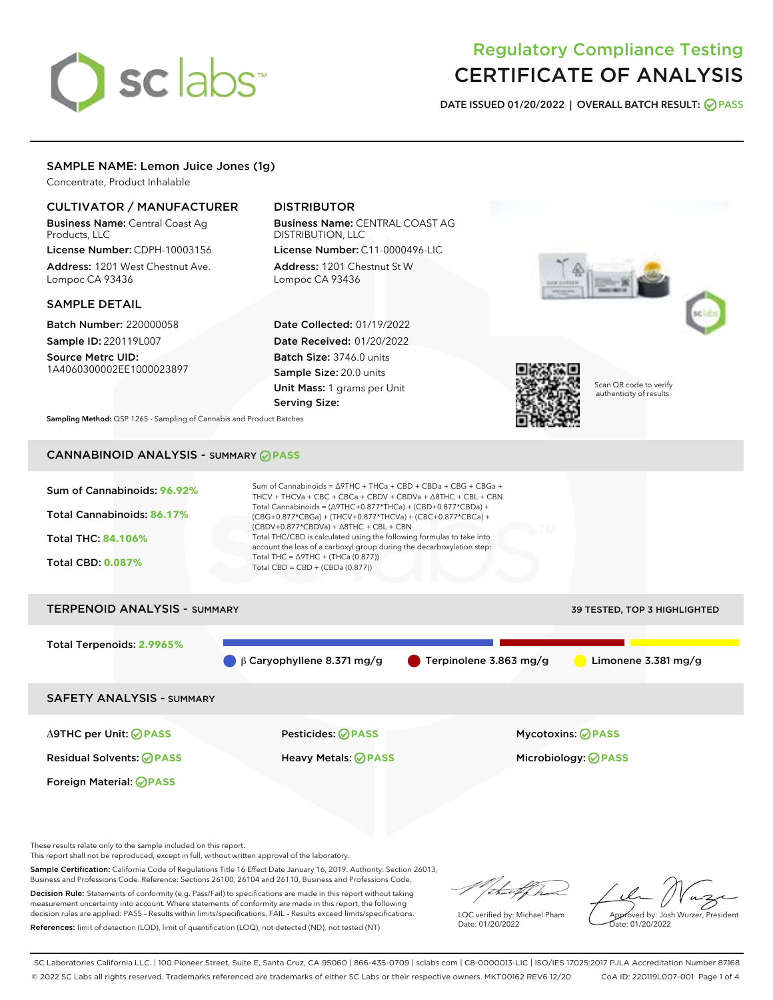# sclabs<sup>\*</sup>

# Regulatory Compliance Testing CERTIFICATE OF ANALYSIS

DATE ISSUED 01/20/2022 | OVERALL BATCH RESULT: @ PASS

# SAMPLE NAME: Lemon Juice Jones (1g)

Concentrate, Product Inhalable

# CULTIVATOR / MANUFACTURER

Business Name: Central Coast Ag Products, LLC

License Number: CDPH-10003156 Address: 1201 West Chestnut Ave. Lompoc CA 93436

#### SAMPLE DETAIL

Batch Number: 220000058 Sample ID: 220119L007

Source Metrc UID: 1A4060300002EE1000023897

# DISTRIBUTOR

Business Name: CENTRAL COAST AG DISTRIBUTION, LLC

License Number: C11-0000496-LIC Address: 1201 Chestnut St W Lompoc CA 93436

Date Collected: 01/19/2022 Date Received: 01/20/2022 Batch Size: 3746.0 units Sample Size: 20.0 units Unit Mass: 1 grams per Unit Serving Size:





Scan QR code to verify authenticity of results.

Sampling Method: QSP 1265 - Sampling of Cannabis and Product Batches

# CANNABINOID ANALYSIS - SUMMARY **PASS**

Sum of Cannabinoids: **96.92%** Total Cannabinoids: **86.17%** Total THC: **84.106%** Total CBD: **0.087%** Sum of Cannabinoids = ∆9THC + THCa + CBD + CBDa + CBG + CBGa + THCV + THCVa + CBC + CBCa + CBDV + CBDVa + ∆8THC + CBL + CBN Total Cannabinoids = (∆9THC+0.877\*THCa) + (CBD+0.877\*CBDa) + (CBG+0.877\*CBGa) + (THCV+0.877\*THCVa) + (CBC+0.877\*CBCa) + (CBDV+0.877\*CBDVa) + ∆8THC + CBL + CBN Total THC/CBD is calculated using the following formulas to take into account the loss of a carboxyl group during the decarboxylation step: Total THC =  $\triangle$ 9THC + (THCa (0.877)) Total CBD = CBD + (CBDa (0.877))

# TERPENOID ANALYSIS - SUMMARY 39 TESTED, TOP 3 HIGHLIGHTED Total Terpenoids: **2.9965%**  $\beta$  β Caryophyllene 8.371 mg/g  $\qquad \qquad$  Terpinolene 3.863 mg/g  $\qquad \qquad$  Limonene 3.381 mg/g SAFETY ANALYSIS - SUMMARY

Foreign Material: **PASS**

Residual Solvents: **PASS** Heavy Metals: **PASS** Microbiology: **PASS**

Δ9THC per Unit: **PASS** Pesticides: **PASS** Mycotoxins: **PASS**

These results relate only to the sample included on this report.

This report shall not be reproduced, except in full, without written approval of the laboratory.

Sample Certification: California Code of Regulations Title 16 Effect Date January 16, 2019. Authority: Section 26013, Business and Professions Code. Reference: Sections 26100, 26104 and 26110, Business and Professions Code.

Decision Rule: Statements of conformity (e.g. Pass/Fail) to specifications are made in this report without taking measurement uncertainty into account. Where statements of conformity are made in this report, the following decision rules are applied: PASS – Results within limits/specifications, FAIL – Results exceed limits/specifications. References: limit of detection (LOD), limit of quantification (LOQ), not detected (ND), not tested (NT)

LQC verified by: Michael Pham Date: 01/20/2022

Approved by: Josh Wurzer, President ate: 01/20/2022

SC Laboratories California LLC. | 100 Pioneer Street, Suite E, Santa Cruz, CA 95060 | 866-435-0709 | sclabs.com | C8-0000013-LIC | ISO/IES 17025:2017 PJLA Accreditation Number 87168 © 2022 SC Labs all rights reserved. Trademarks referenced are trademarks of either SC Labs or their respective owners. MKT00162 REV6 12/20 CoA ID: 220119L007-001 Page 1 of 4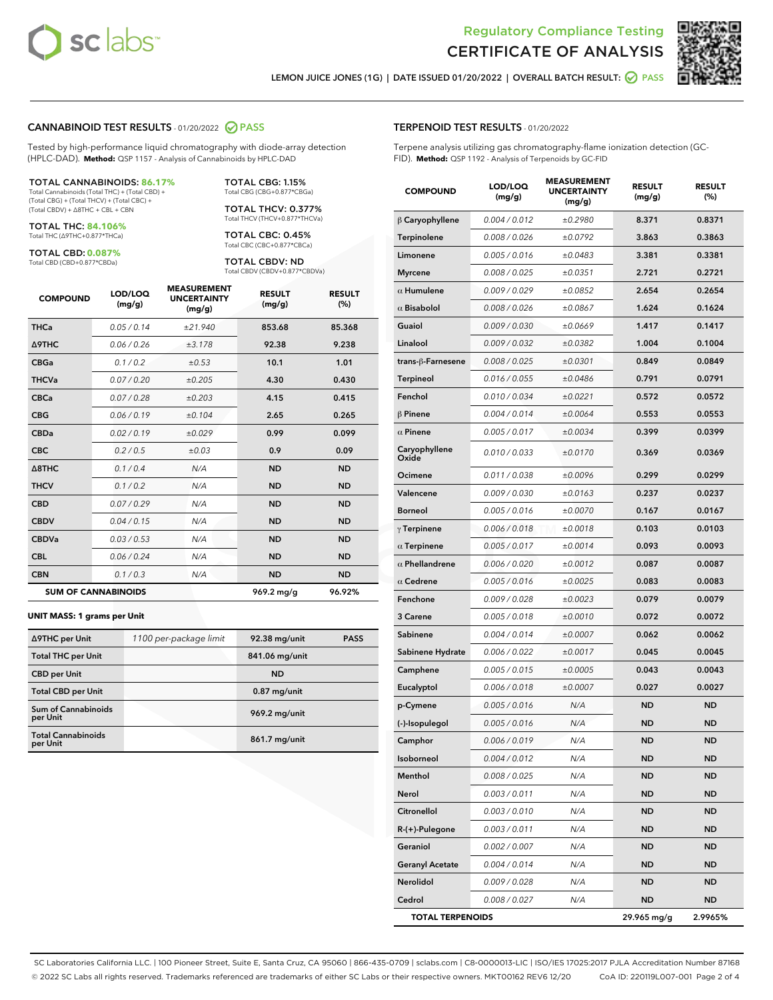



LEMON JUICE JONES (1G) | DATE ISSUED 01/20/2022 | OVERALL BATCH RESULT: @ PASS

#### CANNABINOID TEST RESULTS - 01/20/2022 2 PASS

Tested by high-performance liquid chromatography with diode-array detection (HPLC-DAD). **Method:** QSP 1157 - Analysis of Cannabinoids by HPLC-DAD

#### TOTAL CANNABINOIDS: **86.17%**

Total Cannabinoids (Total THC) + (Total CBD) + (Total CBG) + (Total THCV) + (Total CBC) + (Total CBDV) + ∆8THC + CBL + CBN

TOTAL THC: **84.106%** Total THC (∆9THC+0.877\*THCa)

TOTAL CBD: **0.087%**

Total CBD (CBD+0.877\*CBDa)

TOTAL CBG: 1.15% Total CBG (CBG+0.877\*CBGa)

TOTAL THCV: 0.377% Total THCV (THCV+0.877\*THCVa)

TOTAL CBC: 0.45% Total CBC (CBC+0.877\*CBCa)

TOTAL CBDV: ND Total CBDV (CBDV+0.877\*CBDVa)

| <b>COMPOUND</b>  | LOD/LOQ<br>(mg/g)          | <b>MEASUREMENT</b><br><b>UNCERTAINTY</b><br>(mg/g) | <b>RESULT</b><br>(mg/g) | <b>RESULT</b><br>(%) |
|------------------|----------------------------|----------------------------------------------------|-------------------------|----------------------|
| <b>THCa</b>      | 0.05 / 0.14                | ±21.940                                            | 853.68                  | 85.368               |
| <b>A9THC</b>     | 0.06 / 0.26                | ±3.178                                             | 92.38                   | 9.238                |
| <b>CBGa</b>      | 0.1 / 0.2                  | ±0.53                                              | 10.1                    | 1.01                 |
| <b>THCVa</b>     | 0.07/0.20                  | ±0.205                                             | 4.30                    | 0.430                |
| <b>CBCa</b>      | 0.07/0.28                  | ±0.203                                             | 4.15                    | 0.415                |
| <b>CBG</b>       | 0.06/0.19                  | ±0.104                                             | 2.65                    | 0.265                |
| <b>CBDa</b>      | 0.02/0.19                  | ±0.029                                             | 0.99                    | 0.099                |
| <b>CBC</b>       | 0.2 / 0.5                  | ±0.03                                              | 0.9                     | 0.09                 |
| $\triangle$ 8THC | 0.1/0.4                    | N/A                                                | <b>ND</b>               | <b>ND</b>            |
| <b>THCV</b>      | 0.1/0.2                    | N/A                                                | <b>ND</b>               | <b>ND</b>            |
| <b>CBD</b>       | 0.07/0.29                  | N/A                                                | <b>ND</b>               | <b>ND</b>            |
| <b>CBDV</b>      | 0.04 / 0.15                | N/A                                                | <b>ND</b>               | <b>ND</b>            |
| <b>CBDVa</b>     | 0.03 / 0.53                | N/A                                                | <b>ND</b>               | <b>ND</b>            |
| <b>CBL</b>       | 0.06 / 0.24                | N/A                                                | <b>ND</b>               | <b>ND</b>            |
| <b>CBN</b>       | 0.1/0.3                    | N/A                                                | <b>ND</b>               | <b>ND</b>            |
|                  | <b>SUM OF CANNABINOIDS</b> |                                                    | 969.2 mg/g              | 96.92%               |

#### **UNIT MASS: 1 grams per Unit**

| ∆9THC per Unit                        | 1100 per-package limit | 92.38 mg/unit  | <b>PASS</b> |
|---------------------------------------|------------------------|----------------|-------------|
| <b>Total THC per Unit</b>             |                        | 841.06 mg/unit |             |
| <b>CBD</b> per Unit                   |                        | <b>ND</b>      |             |
| <b>Total CBD per Unit</b>             |                        | $0.87$ mg/unit |             |
| Sum of Cannabinoids<br>per Unit       |                        | 969.2 mg/unit  |             |
| <b>Total Cannabinoids</b><br>per Unit |                        | 861.7 mg/unit  |             |

#### TERPENOID TEST RESULTS - 01/20/2022

Terpene analysis utilizing gas chromatography-flame ionization detection (GC-FID). **Method:** QSP 1192 - Analysis of Terpenoids by GC-FID

| <b>COMPOUND</b>         | LOD/LOQ<br>(mg/g) | <b>MEASUREMENT</b><br><b>UNCERTAINTY</b><br>(mg/g) | <b>RESULT</b><br>(mg/g) | <b>RESULT</b><br>(%) |
|-------------------------|-------------------|----------------------------------------------------|-------------------------|----------------------|
| $\beta$ Caryophyllene   | 0.004 / 0.012     | ±0.2980                                            | 8.371                   | 0.8371               |
| Terpinolene             | 0.008 / 0.026     | ±0.0792                                            | 3.863                   | 0.3863               |
| Limonene                | 0.005 / 0.016     | ±0.0483                                            | 3.381                   | 0.3381               |
| <b>Myrcene</b>          | 0.008 / 0.025     | ±0.0351                                            | 2.721                   | 0.2721               |
| $\alpha$ Humulene       | 0.009/0.029       | ±0.0852                                            | 2.654                   | 0.2654               |
| $\alpha$ Bisabolol      | 0.008 / 0.026     | ±0.0867                                            | 1.624                   | 0.1624               |
| Guaiol                  | 0.009 / 0.030     | ±0.0669                                            | 1.417                   | 0.1417               |
| Linalool                | 0.009 / 0.032     | ±0.0382                                            | 1.004                   | 0.1004               |
| trans-β-Farnesene       | 0.008 / 0.025     | ±0.0301                                            | 0.849                   | 0.0849               |
| Terpineol               | 0.016 / 0.055     | ±0.0486                                            | 0.791                   | 0.0791               |
| Fenchol                 | 0.010 / 0.034     | ±0.0221                                            | 0.572                   | 0.0572               |
| $\beta$ Pinene          | 0.004 / 0.014     | ±0.0064                                            | 0.553                   | 0.0553               |
| $\alpha$ Pinene         | 0.005 / 0.017     | ±0.0034                                            | 0.399                   | 0.0399               |
| Caryophyllene<br>Oxide  | 0.010 / 0.033     | ±0.0170                                            | 0.369                   | 0.0369               |
| Ocimene                 | 0.011 / 0.038     | ±0.0096                                            | 0.299                   | 0.0299               |
| Valencene               | 0.009 / 0.030     | ±0.0163                                            | 0.237                   | 0.0237               |
| <b>Borneol</b>          | 0.005 / 0.016     | ±0.0070                                            | 0.167                   | 0.0167               |
| $\gamma$ Terpinene      | 0.006 / 0.018     | ±0.0018                                            | 0.103                   | 0.0103               |
| $\alpha$ Terpinene      | 0.005 / 0.017     | ±0.0014                                            | 0.093                   | 0.0093               |
| $\alpha$ Phellandrene   | 0.006 / 0.020     | ±0.0012                                            | 0.087                   | 0.0087               |
| $\alpha$ Cedrene        | 0.005 / 0.016     | ±0.0025                                            | 0.083                   | 0.0083               |
| Fenchone                | 0.009 / 0.028     | ±0.0023                                            | 0.079                   | 0.0079               |
| 3 Carene                | 0.005 / 0.018     | ±0.0010                                            | 0.072                   | 0.0072               |
| Sabinene                | 0.004 / 0.014     | ±0.0007                                            | 0.062                   | 0.0062               |
| Sabinene Hydrate        | 0.006 / 0.022     | ±0.0017                                            | 0.045                   | 0.0045               |
| Camphene                | 0.005 / 0.015     | ±0.0005                                            | 0.043                   | 0.0043               |
| Eucalyptol              | 0.006 / 0.018     | ±0.0007                                            | 0.027                   | 0.0027               |
| p-Cymene                | 0.005 / 0.016     | N/A                                                | <b>ND</b>               | <b>ND</b>            |
| (-)-Isopulegol          | 0.005 / 0.016     | N/A                                                | <b>ND</b>               | ND                   |
| Camphor                 | 0.006 / 0.019     | N/A                                                | <b>ND</b>               | <b>ND</b>            |
| Isoborneol              | 0.004 / 0.012     | N/A                                                | ND                      | ND                   |
| Menthol                 | 0.008 / 0.025     | N/A                                                | ND                      | ND                   |
| Nerol                   | 0.003 / 0.011     | N/A                                                | <b>ND</b>               | ND                   |
| Citronellol             | 0.003 / 0.010     | N/A                                                | ND                      | ND                   |
| R-(+)-Pulegone          | 0.003 / 0.011     | N/A                                                | ND                      | ND                   |
| Geraniol                | 0.002 / 0.007     | N/A                                                | <b>ND</b>               | ND                   |
| <b>Geranyl Acetate</b>  | 0.004 / 0.014     | N/A                                                | ND                      | ND                   |
| Nerolidol               | 0.009 / 0.028     | N/A                                                | ND                      | ND                   |
| Cedrol                  | 0.008 / 0.027     | N/A                                                | <b>ND</b>               | ND                   |
| <b>TOTAL TERPENOIDS</b> |                   |                                                    | 29.965 mg/g             | 2.9965%              |

SC Laboratories California LLC. | 100 Pioneer Street, Suite E, Santa Cruz, CA 95060 | 866-435-0709 | sclabs.com | C8-0000013-LIC | ISO/IES 17025:2017 PJLA Accreditation Number 87168 © 2022 SC Labs all rights reserved. Trademarks referenced are trademarks of either SC Labs or their respective owners. MKT00162 REV6 12/20 CoA ID: 220119L007-001 Page 2 of 4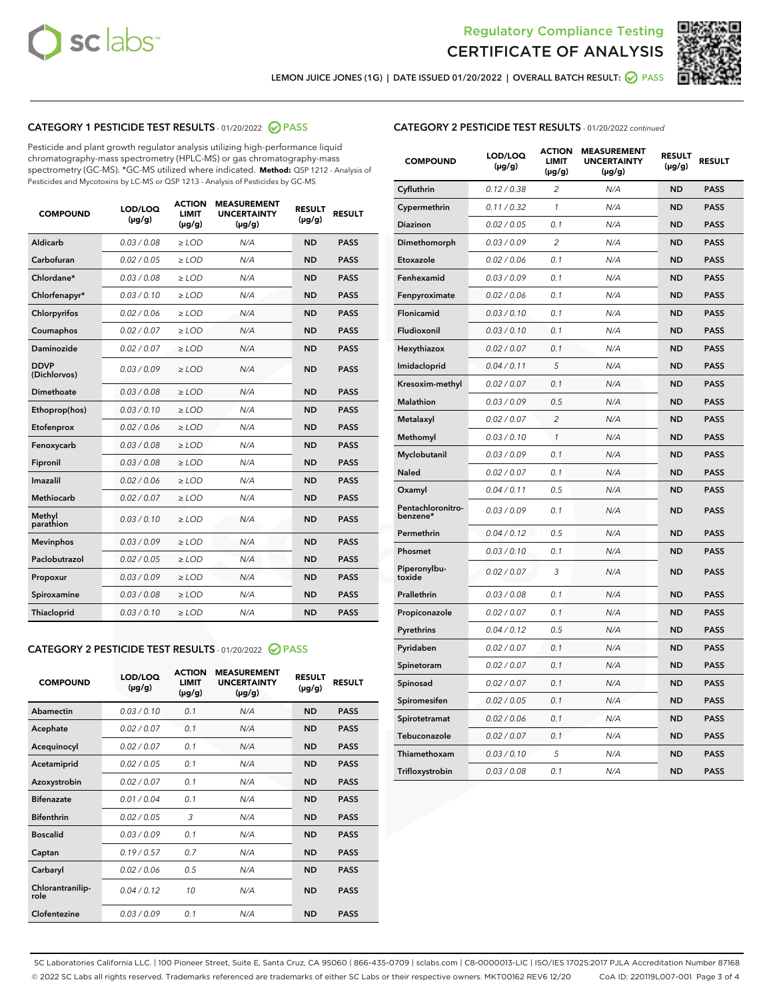



LEMON JUICE JONES (1G) | DATE ISSUED 01/20/2022 | OVERALL BATCH RESULT: **O PASS** 

# CATEGORY 1 PESTICIDE TEST RESULTS - 01/20/2022 2 PASS

Pesticide and plant growth regulator analysis utilizing high-performance liquid chromatography-mass spectrometry (HPLC-MS) or gas chromatography-mass spectrometry (GC-MS). \*GC-MS utilized where indicated. **Method:** QSP 1212 - Analysis of Pesticides and Mycotoxins by LC-MS or QSP 1213 - Analysis of Pesticides by GC-MS

| <b>COMPOUND</b>             | LOD/LOQ<br>$(\mu g/g)$ | <b>ACTION</b><br><b>LIMIT</b><br>$(\mu g/g)$ | <b>MEASUREMENT</b><br><b>UNCERTAINTY</b><br>$(\mu g/g)$ | <b>RESULT</b><br>$(\mu g/g)$ | <b>RESULT</b> |
|-----------------------------|------------------------|----------------------------------------------|---------------------------------------------------------|------------------------------|---------------|
| Aldicarb                    | 0.03/0.08              | $>$ LOD                                      | N/A                                                     | <b>ND</b>                    | <b>PASS</b>   |
| Carbofuran                  | 0.02 / 0.05            | $\ge$ LOD                                    | N/A                                                     | <b>ND</b>                    | <b>PASS</b>   |
| Chlordane*                  | 0.03/0.08              | $\ge$ LOD                                    | N/A                                                     | <b>ND</b>                    | <b>PASS</b>   |
| Chlorfenapyr*               | 0.03/0.10              | $\ge$ LOD                                    | N/A                                                     | <b>ND</b>                    | <b>PASS</b>   |
| Chlorpyrifos                | 0.02 / 0.06            | $\ge$ LOD                                    | N/A                                                     | <b>ND</b>                    | <b>PASS</b>   |
| Coumaphos                   | 0.02 / 0.07            | $\ge$ LOD                                    | N/A                                                     | <b>ND</b>                    | <b>PASS</b>   |
| Daminozide                  | 0.02/0.07              | $>$ LOD                                      | N/A                                                     | <b>ND</b>                    | <b>PASS</b>   |
| <b>DDVP</b><br>(Dichlorvos) | 0.03/0.09              | $\ge$ LOD                                    | N/A                                                     | <b>ND</b>                    | <b>PASS</b>   |
| <b>Dimethoate</b>           | 0.03/0.08              | $\ge$ LOD                                    | N/A                                                     | <b>ND</b>                    | <b>PASS</b>   |
| Ethoprop(hos)               | 0.03/0.10              | $\ge$ LOD                                    | N/A                                                     | <b>ND</b>                    | <b>PASS</b>   |
| Etofenprox                  | 0.02 / 0.06            | $\ge$ LOD                                    | N/A                                                     | <b>ND</b>                    | <b>PASS</b>   |
| Fenoxycarb                  | 0.03/0.08              | $\ge$ LOD                                    | N/A                                                     | <b>ND</b>                    | <b>PASS</b>   |
| Fipronil                    | 0.03/0.08              | $\ge$ LOD                                    | N/A                                                     | <b>ND</b>                    | <b>PASS</b>   |
| Imazalil                    | 0.02 / 0.06            | $>$ LOD                                      | N/A                                                     | <b>ND</b>                    | <b>PASS</b>   |
| Methiocarb                  | 0.02 / 0.07            | $>$ LOD                                      | N/A                                                     | <b>ND</b>                    | <b>PASS</b>   |
| Methyl<br>parathion         | 0.03/0.10              | $>$ LOD                                      | N/A                                                     | <b>ND</b>                    | <b>PASS</b>   |
| <b>Mevinphos</b>            | 0.03/0.09              | $\ge$ LOD                                    | N/A                                                     | <b>ND</b>                    | <b>PASS</b>   |
| Paclobutrazol               | 0.02 / 0.05            | $>$ LOD                                      | N/A                                                     | <b>ND</b>                    | <b>PASS</b>   |
| Propoxur                    | 0.03/0.09              | $\ge$ LOD                                    | N/A                                                     | <b>ND</b>                    | <b>PASS</b>   |
| Spiroxamine                 | 0.03 / 0.08            | $\ge$ LOD                                    | N/A                                                     | <b>ND</b>                    | <b>PASS</b>   |
| Thiacloprid                 | 0.03/0.10              | $\ge$ LOD                                    | N/A                                                     | <b>ND</b>                    | <b>PASS</b>   |

#### CATEGORY 2 PESTICIDE TEST RESULTS - 01/20/2022 2 PASS

| <b>COMPOUND</b>          | LOD/LOO<br>$(\mu g/g)$ | <b>ACTION</b><br>LIMIT<br>$(\mu g/g)$ | <b>MEASUREMENT</b><br><b>UNCERTAINTY</b><br>$(\mu g/g)$ | <b>RESULT</b><br>$(\mu g/g)$ | <b>RESULT</b> |
|--------------------------|------------------------|---------------------------------------|---------------------------------------------------------|------------------------------|---------------|
| Abamectin                | 0.03/0.10              | 0.1                                   | N/A                                                     | <b>ND</b>                    | <b>PASS</b>   |
| Acephate                 | 0.02/0.07              | 0.1                                   | N/A                                                     | <b>ND</b>                    | <b>PASS</b>   |
| Acequinocyl              | 0.02/0.07              | 0.1                                   | N/A                                                     | <b>ND</b>                    | <b>PASS</b>   |
| Acetamiprid              | 0.02 / 0.05            | 0.1                                   | N/A                                                     | <b>ND</b>                    | <b>PASS</b>   |
| Azoxystrobin             | 0.02/0.07              | 0.1                                   | N/A                                                     | <b>ND</b>                    | <b>PASS</b>   |
| <b>Bifenazate</b>        | 0.01 / 0.04            | 0.1                                   | N/A                                                     | <b>ND</b>                    | <b>PASS</b>   |
| <b>Bifenthrin</b>        | 0.02 / 0.05            | 3                                     | N/A                                                     | <b>ND</b>                    | <b>PASS</b>   |
| <b>Boscalid</b>          | 0.03/0.09              | 0.1                                   | N/A                                                     | <b>ND</b>                    | <b>PASS</b>   |
| Captan                   | 0.19/0.57              | 0.7                                   | N/A                                                     | <b>ND</b>                    | <b>PASS</b>   |
| Carbaryl                 | 0.02/0.06              | 0.5                                   | N/A                                                     | <b>ND</b>                    | <b>PASS</b>   |
| Chlorantranilip-<br>role | 0.04/0.12              | 10                                    | N/A                                                     | <b>ND</b>                    | <b>PASS</b>   |
| Clofentezine             | 0.03/0.09              | 0.1                                   | N/A                                                     | <b>ND</b>                    | <b>PASS</b>   |

| <b>CATEGORY 2 PESTICIDE TEST RESULTS</b> - 01/20/2022 continued |
|-----------------------------------------------------------------|
|-----------------------------------------------------------------|

| <b>COMPOUND</b>               | LOD/LOQ<br>(µg/g) | <b>ACTION</b><br>LIMIT<br>(µg/g) | <b>MEASUREMENT</b><br><b>UNCERTAINTY</b><br>(µg/g) | <b>RESULT</b><br>(µg/g) | <b>RESULT</b> |
|-------------------------------|-------------------|----------------------------------|----------------------------------------------------|-------------------------|---------------|
| Cyfluthrin                    | 0.12 / 0.38       | $\overline{c}$                   | N/A                                                | <b>ND</b>               | <b>PASS</b>   |
| Cypermethrin                  | 0.11/0.32         | 1                                | N/A                                                | <b>ND</b>               | <b>PASS</b>   |
| Diazinon                      | 0.02 / 0.05       | 0.1                              | N/A                                                | <b>ND</b>               | <b>PASS</b>   |
| Dimethomorph                  | 0.03 / 0.09       | 2                                | N/A                                                | <b>ND</b>               | <b>PASS</b>   |
| Etoxazole                     | 0.02 / 0.06       | 0.1                              | N/A                                                | <b>ND</b>               | <b>PASS</b>   |
| Fenhexamid                    | 0.03 / 0.09       | 0.1                              | N/A                                                | <b>ND</b>               | <b>PASS</b>   |
| Fenpyroximate                 | 0.02 / 0.06       | 0.1                              | N/A                                                | <b>ND</b>               | <b>PASS</b>   |
| Flonicamid                    | 0.03 / 0.10       | 0.1                              | N/A                                                | <b>ND</b>               | <b>PASS</b>   |
| Fludioxonil                   | 0.03 / 0.10       | 0.1                              | N/A                                                | <b>ND</b>               | <b>PASS</b>   |
| Hexythiazox                   | 0.02 / 0.07       | 0.1                              | N/A                                                | <b>ND</b>               | <b>PASS</b>   |
| Imidacloprid                  | 0.04 / 0.11       | 5                                | N/A                                                | <b>ND</b>               | <b>PASS</b>   |
| Kresoxim-methyl               | 0.02 / 0.07       | 0.1                              | N/A                                                | <b>ND</b>               | <b>PASS</b>   |
| <b>Malathion</b>              | 0.03 / 0.09       | 0.5                              | N/A                                                | <b>ND</b>               | <b>PASS</b>   |
| Metalaxyl                     | 0.02 / 0.07       | 2                                | N/A                                                | <b>ND</b>               | <b>PASS</b>   |
| Methomyl                      | 0.03 / 0.10       | $\mathcal{I}$                    | N/A                                                | <b>ND</b>               | <b>PASS</b>   |
| Myclobutanil                  | 0.03 / 0.09       | 0.1                              | N/A                                                | <b>ND</b>               | <b>PASS</b>   |
| <b>Naled</b>                  | 0.02 / 0.07       | 0.1                              | N/A                                                | <b>ND</b>               | <b>PASS</b>   |
| Oxamyl                        | 0.04 / 0.11       | 0.5                              | N/A                                                | <b>ND</b>               | <b>PASS</b>   |
| Pentachloronitro-<br>benzene* | 0.03 / 0.09       | 0.1                              | N/A                                                | <b>ND</b>               | <b>PASS</b>   |
| Permethrin                    | 0.04/0.12         | 0.5                              | N/A                                                | <b>ND</b>               | <b>PASS</b>   |
| Phosmet                       | 0.03 / 0.10       | 0.1                              | N/A                                                | <b>ND</b>               | <b>PASS</b>   |
| Piperonylbu-<br>toxide        | 0.02 / 0.07       | 3                                | N/A                                                | <b>ND</b>               | <b>PASS</b>   |
| Prallethrin                   | 0.03 / 0.08       | 0.1                              | N/A                                                | <b>ND</b>               | <b>PASS</b>   |
| Propiconazole                 | 0.02 / 0.07       | 0.1                              | N/A                                                | <b>ND</b>               | <b>PASS</b>   |
| Pyrethrins                    | 0.04 / 0.12       | 0.5                              | N/A                                                | <b>ND</b>               | <b>PASS</b>   |
| Pyridaben                     | 0.02 / 0.07       | 0.1                              | N/A                                                | <b>ND</b>               | <b>PASS</b>   |
| Spinetoram                    | 0.02 / 0.07       | 0.1                              | N/A                                                | <b>ND</b>               | <b>PASS</b>   |
| Spinosad                      | 0.02 / 0.07       | 0.1                              | N/A                                                | <b>ND</b>               | <b>PASS</b>   |
| Spiromesifen                  | 0.02 / 0.05       | 0.1                              | N/A                                                | <b>ND</b>               | <b>PASS</b>   |
| Spirotetramat                 | 0.02 / 0.06       | 0.1                              | N/A                                                | ND                      | <b>PASS</b>   |
| Tebuconazole                  | 0.02 / 0.07       | 0.1                              | N/A                                                | <b>ND</b>               | <b>PASS</b>   |
| Thiamethoxam                  | 0.03 / 0.10       | 5                                | N/A                                                | <b>ND</b>               | <b>PASS</b>   |
| Trifloxystrobin               | 0.03 / 0.08       | 0.1                              | N/A                                                | <b>ND</b>               | <b>PASS</b>   |

SC Laboratories California LLC. | 100 Pioneer Street, Suite E, Santa Cruz, CA 95060 | 866-435-0709 | sclabs.com | C8-0000013-LIC | ISO/IES 17025:2017 PJLA Accreditation Number 87168 © 2022 SC Labs all rights reserved. Trademarks referenced are trademarks of either SC Labs or their respective owners. MKT00162 REV6 12/20 CoA ID: 220119L007-001 Page 3 of 4